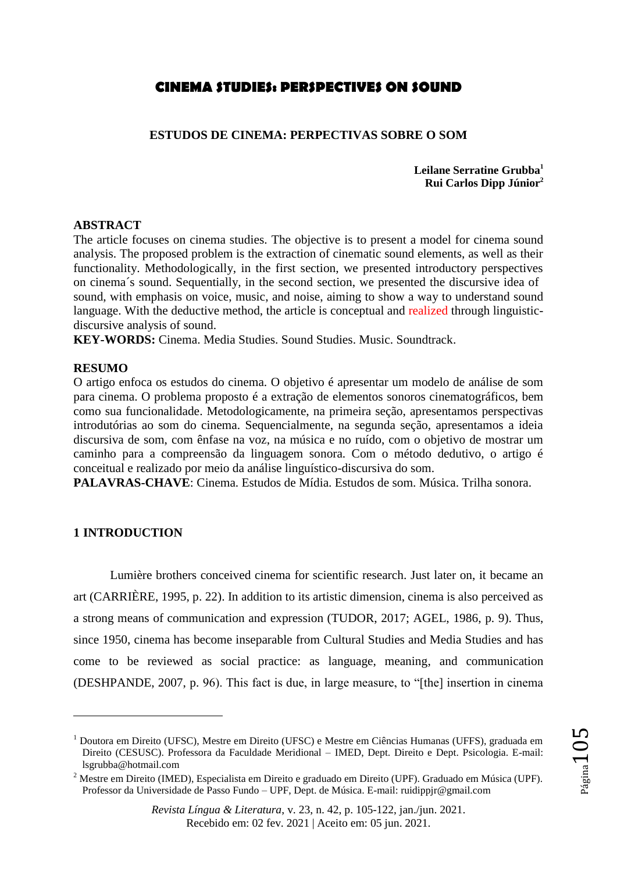# **CINEMA STUDIES: PERSPECTIVES ON SOUND**

## **ESTUDOS DE CINEMA: PERPECTIVAS SOBRE O SOM**

**Leilane Serratine Grubba<sup>1</sup> Rui Carlos Dipp Júnior<sup>2</sup>**

## **ABSTRACT**

The article focuses on cinema studies. The objective is to present a model for cinema sound analysis. The proposed problem is the extraction of cinematic sound elements, as well as their functionality. Methodologically, in the first section, we presented introductory perspectives on cinema´s sound. Sequentially, in the second section, we presented the discursive idea of sound, with emphasis on voice, music, and noise, aiming to show a way to understand sound language. With the deductive method, the article is conceptual and realized through linguisticdiscursive analysis of sound.

**KEY-WORDS:** Cinema. Media Studies. Sound Studies. Music. Soundtrack.

## **RESUMO**

O artigo enfoca os estudos do cinema. O objetivo é apresentar um modelo de análise de som para cinema. O problema proposto é a extração de elementos sonoros cinematográficos, bem como sua funcionalidade. Metodologicamente, na primeira seção, apresentamos perspectivas introdutórias ao som do cinema. Sequencialmente, na segunda seção, apresentamos a ideia discursiva de som, com ênfase na voz, na música e no ruído, com o objetivo de mostrar um caminho para a compreensão da linguagem sonora. Com o método dedutivo, o artigo é conceitual e realizado por meio da análise linguístico-discursiva do som.

**PALAVRAS-CHAVE**: Cinema. Estudos de Mídia. Estudos de som. Música. Trilha sonora.

## **1 INTRODUCTION**

 $\overline{a}$ 

Lumière brothers conceived cinema for scientific research. Just later on, it became an art (CARRIÈRE, 1995, p. 22). In addition to its artistic dimension, cinema is also perceived as a strong means of communication and expression (TUDOR, 2017; AGEL, 1986, p. 9). Thus, since 1950, cinema has become inseparable from Cultural Studies and Media Studies and has come to be reviewed as social practice: as language, meaning, and communication (DESHPANDE, 2007, p. 96). This fact is due, in large measure, to "[the] insertion in cinema

<sup>1</sup> Doutora em Direito (UFSC), Mestre em Direito (UFSC) e Mestre em Ciências Humanas (UFFS), graduada em Direito (CESUSC). Professora da Faculdade Meridional – IMED, Dept. Direito e Dept. Psicologia. E-mail: [lsgrubba@hotmail.com](mailto:lsgrubba@hotmail.com)

<sup>2</sup> Mestre em Direito (IMED), Especialista em Direito e graduado em Direito (UPF). Graduado em Música (UPF). Professor da Universidade de Passo Fundo – UPF, Dept. de Música. E-mail: [ruidippjr@gmail.com](mailto:ruidippjr@gmail.com)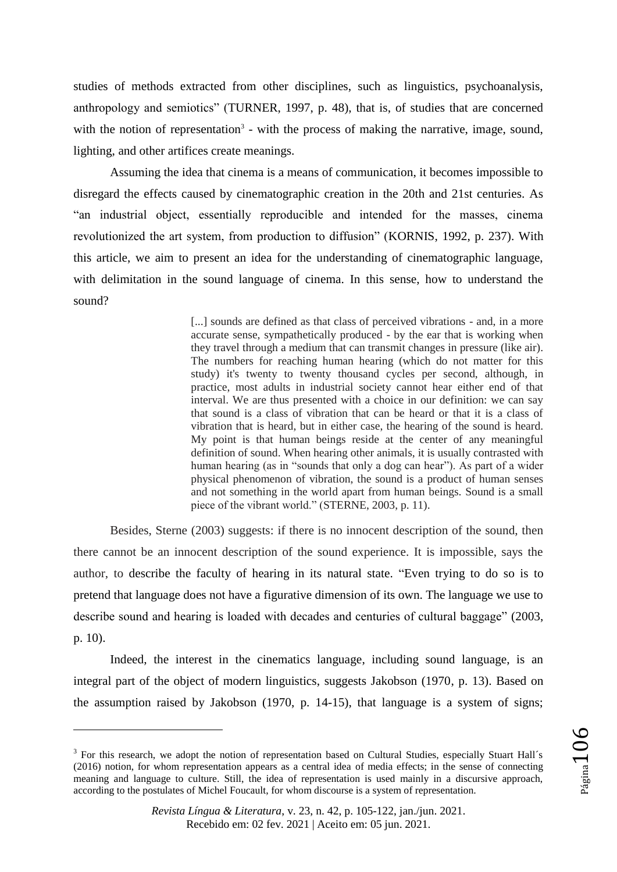studies of methods extracted from other disciplines, such as linguistics, psychoanalysis, anthropology and semiotics" (TURNER, 1997, p. 48), that is, of studies that are concerned with the notion of representation<sup>3</sup> - with the process of making the narrative, image, sound, lighting, and other artifices create meanings.

Assuming the idea that cinema is a means of communication, it becomes impossible to disregard the effects caused by cinematographic creation in the 20th and 21st centuries. As "an industrial object, essentially reproducible and intended for the masses, cinema revolutionized the art system, from production to diffusion" (KORNIS, 1992, p. 237). With this article, we aim to present an idea for the understanding of cinematographic language, with delimitation in the sound language of cinema. In this sense, how to understand the sound?

> [...] sounds are defined as that class of perceived vibrations - and, in a more accurate sense, sympathetically produced - by the ear that is working when they travel through a medium that can transmit changes in pressure (like air). The numbers for reaching human hearing (which do not matter for this study) it's twenty to twenty thousand cycles per second, although, in practice, most adults in industrial society cannot hear either end of that interval. We are thus presented with a choice in our definition: we can say that sound is a class of vibration that can be heard or that it is a class of vibration that is heard, but in either case, the hearing of the sound is heard. My point is that human beings reside at the center of any meaningful definition of sound. When hearing other animals, it is usually contrasted with human hearing (as in "sounds that only a dog can hear"). As part of a wider physical phenomenon of vibration, the sound is a product of human senses and not something in the world apart from human beings. Sound is a small piece of the vibrant world." (STERNE, 2003, p. 11).

Besides, Sterne (2003) suggests: if there is no innocent description of the sound, then there cannot be an innocent description of the sound experience. It is impossible, says the author, to describe the faculty of hearing in its natural state. "Even trying to do so is to pretend that language does not have a figurative dimension of its own. The language we use to describe sound and hearing is loaded with decades and centuries of cultural baggage" (2003, p. 10).

Indeed, the interest in the cinematics language, including sound language, is an integral part of the object of modern linguistics, suggests Jakobson (1970, p. 13). Based on the assumption raised by Jakobson (1970, p. 14-15), that language is a system of signs;

 $\overline{a}$ 

<sup>&</sup>lt;sup>3</sup> For this research, we adopt the notion of representation based on Cultural Studies, especially Stuart Hall's (2016) notion, for whom representation appears as a central idea of media effects; in the sense of connecting meaning and language to culture. Still, the idea of representation is used mainly in a discursive approach, according to the postulates of Michel Foucault, for whom discourse is a system of representation.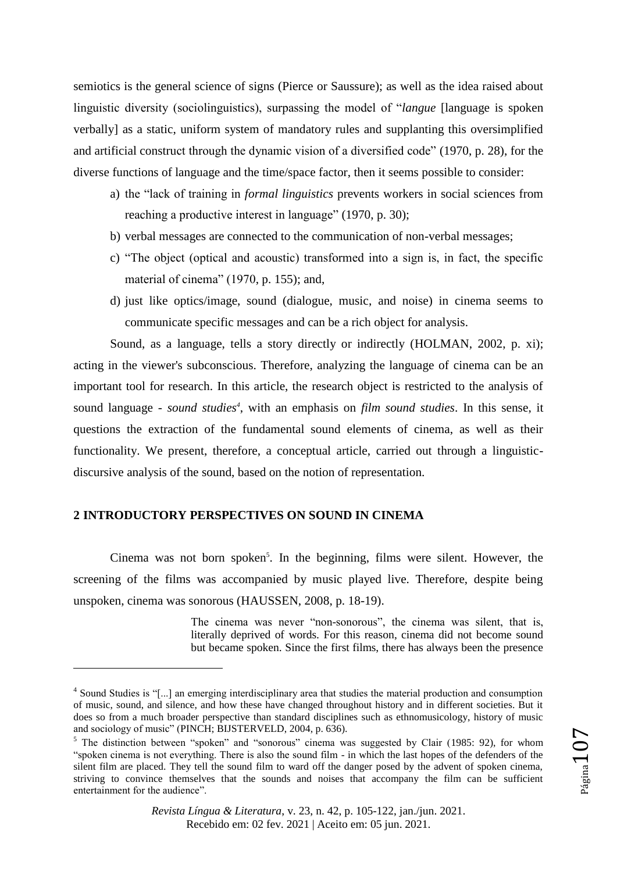semiotics is the general science of signs (Pierce or Saussure); as well as the idea raised about linguistic diversity (sociolinguistics), surpassing the model of "*langue* [language is spoken verbally] as a static, uniform system of mandatory rules and supplanting this oversimplified and artificial construct through the dynamic vision of a diversified code" (1970, p. 28), for the diverse functions of language and the time/space factor, then it seems possible to consider:

- a) the "lack of training in *formal linguistics* prevents workers in social sciences from reaching a productive interest in language" (1970, p. 30);
- b) verbal messages are connected to the communication of non-verbal messages;
- c) "The object (optical and acoustic) transformed into a sign is, in fact, the specific material of cinema" (1970, p. 155); and,
- d) just like optics/image, sound (dialogue, music, and noise) in cinema seems to communicate specific messages and can be a rich object for analysis.

Sound, as a language, tells a story directly or indirectly (HOLMAN, 2002, p. xi); acting in the viewer's subconscious. Therefore, analyzing the language of cinema can be an important tool for research. In this article, the research object is restricted to the analysis of sound language - *sound studies<sup>4</sup>* , with an emphasis on *film sound studies*. In this sense, it questions the extraction of the fundamental sound elements of cinema, as well as their functionality. We present, therefore, a conceptual article, carried out through a linguisticdiscursive analysis of the sound, based on the notion of representation.

# **2 INTRODUCTORY PERSPECTIVES ON SOUND IN CINEMA**

 $\overline{a}$ 

Cinema was not born spoken<sup>5</sup>. In the beginning, films were silent. However, the screening of the films was accompanied by music played live. Therefore, despite being unspoken, cinema was sonorous (HAUSSEN, 2008, p. 18-19).

> The cinema was never "non-sonorous", the cinema was silent, that is, literally deprived of words. For this reason, cinema did not become sound but became spoken. Since the first films, there has always been the presence

<sup>&</sup>lt;sup>4</sup> Sound Studies is "[...] an emerging interdisciplinary area that studies the material production and consumption of music, sound, and silence, and how these have changed throughout history and in different societies. But it does so from a much broader perspective than standard disciplines such as ethnomusicology, history of music and sociology of music" (PINCH; BIJSTERVELD, 2004, p. 636).

<sup>&</sup>lt;sup>5</sup> The distinction between "spoken" and "sonorous" cinema was suggested by Clair (1985: 92), for whom "spoken cinema is not everything. There is also the sound film - in which the last hopes of the defenders of the silent film are placed. They tell the sound film to ward off the danger posed by the advent of spoken cinema, striving to convince themselves that the sounds and noises that accompany the film can be sufficient entertainment for the audience".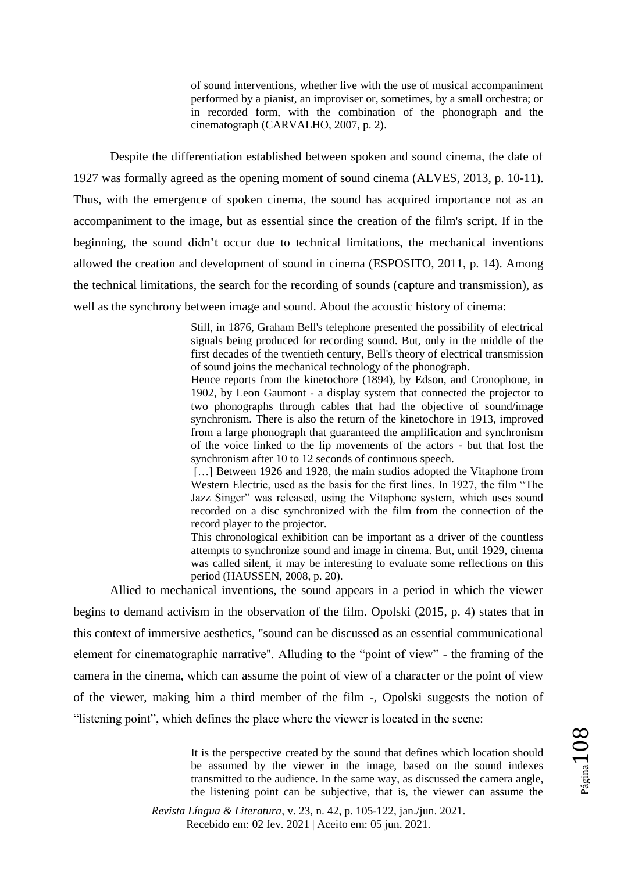of sound interventions, whether live with the use of musical accompaniment performed by a pianist, an improviser or, sometimes, by a small orchestra; or in recorded form, with the combination of the phonograph and the cinematograph (CARVALHO, 2007, p. 2).

Despite the differentiation established between spoken and sound cinema, the date of 1927 was formally agreed as the opening moment of sound cinema (ALVES, 2013, p. 10-11). Thus, with the emergence of spoken cinema, the sound has acquired importance not as an accompaniment to the image, but as essential since the creation of the film's script. If in the beginning, the sound didn"t occur due to technical limitations, the mechanical inventions allowed the creation and development of sound in cinema (ESPOSITO, 2011, p. 14). Among the technical limitations, the search for the recording of sounds (capture and transmission), as well as the synchrony between image and sound. About the acoustic history of cinema:

> Still, in 1876, Graham Bell's telephone presented the possibility of electrical signals being produced for recording sound. But, only in the middle of the first decades of the twentieth century, Bell's theory of electrical transmission of sound joins the mechanical technology of the phonograph.

> Hence reports from the kinetochore (1894), by Edson, and Cronophone, in 1902, by Leon Gaumont - a display system that connected the projector to two phonographs through cables that had the objective of sound/image synchronism. There is also the return of the kinetochore in 1913, improved from a large phonograph that guaranteed the amplification and synchronism of the voice linked to the lip movements of the actors - but that lost the synchronism after 10 to 12 seconds of continuous speech.

> [...] Between 1926 and 1928, the main studios adopted the Vitaphone from Western Electric, used as the basis for the first lines. In 1927, the film "The Jazz Singer" was released, using the Vitaphone system, which uses sound recorded on a disc synchronized with the film from the connection of the record player to the projector.

> This chronological exhibition can be important as a driver of the countless attempts to synchronize sound and image in cinema. But, until 1929, cinema was called silent, it may be interesting to evaluate some reflections on this period (HAUSSEN, 2008, p. 20).

Allied to mechanical inventions, the sound appears in a period in which the viewer begins to demand activism in the observation of the film. Opolski (2015, p. 4) states that in this context of immersive aesthetics, "sound can be discussed as an essential communicational element for cinematographic narrative". Alluding to the "point of view" - the framing of the camera in the cinema, which can assume the point of view of a character or the point of view of the viewer, making him a third member of the film -, Opolski suggests the notion of "listening point", which defines the place where the viewer is located in the scene:

> It is the perspective created by the sound that defines which location should be assumed by the viewer in the image, based on the sound indexes transmitted to the audience. In the same way, as discussed the camera angle, the listening point can be subjective, that is, the viewer can assume the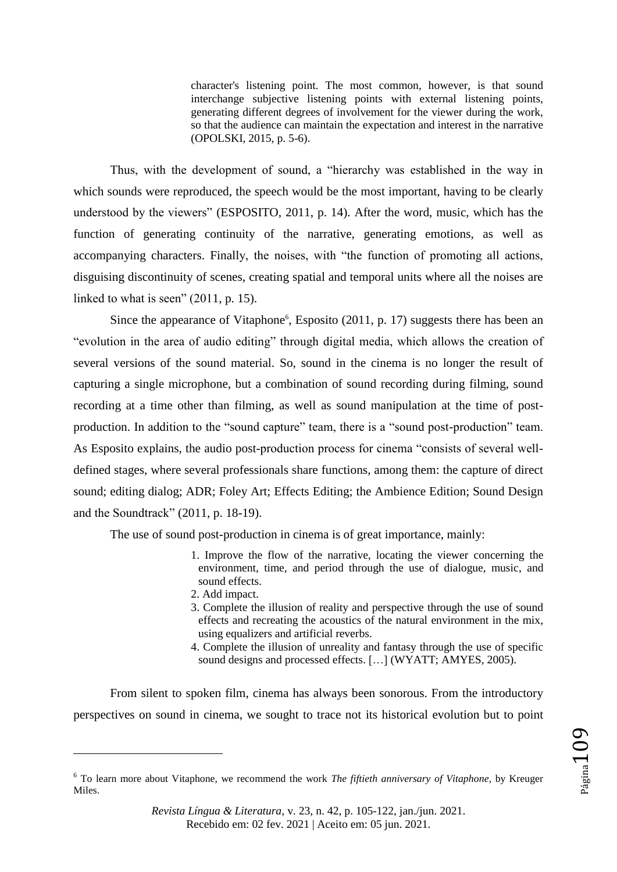character's listening point. The most common, however, is that sound interchange subjective listening points with external listening points, generating different degrees of involvement for the viewer during the work, so that the audience can maintain the expectation and interest in the narrative (OPOLSKI, 2015, p. 5-6).

Thus, with the development of sound, a "hierarchy was established in the way in which sounds were reproduced, the speech would be the most important, having to be clearly understood by the viewers" (ESPOSITO, 2011, p. 14). After the word, music, which has the function of generating continuity of the narrative, generating emotions, as well as accompanying characters. Finally, the noises, with "the function of promoting all actions, disguising discontinuity of scenes, creating spatial and temporal units where all the noises are linked to what is seen" (2011, p. 15).

Since the appearance of Vitaphone<sup>6</sup>, Esposito  $(2011, p. 17)$  suggests there has been an "evolution in the area of audio editing" through digital media, which allows the creation of several versions of the sound material. So, sound in the cinema is no longer the result of capturing a single microphone, but a combination of sound recording during filming, sound recording at a time other than filming, as well as sound manipulation at the time of postproduction. In addition to the "sound capture" team, there is a "sound post-production" team. As Esposito explains, the audio post-production process for cinema "consists of several welldefined stages, where several professionals share functions, among them: the capture of direct sound; editing dialog; ADR; Foley Art; Effects Editing; the Ambience Edition; Sound Design and the Soundtrack" (2011, p. 18-19).

The use of sound post-production in cinema is of great importance, mainly:

- 1. Improve the flow of the narrative, locating the viewer concerning the environment, time, and period through the use of dialogue, music, and sound effects.
- 2. Add impact.

 $\overline{a}$ 

- 3. Complete the illusion of reality and perspective through the use of sound effects and recreating the acoustics of the natural environment in the mix, using equalizers and artificial reverbs.
- 4. Complete the illusion of unreality and fantasy through the use of specific sound designs and processed effects. [...] (WYATT; AMYES, 2005).

From silent to spoken film, cinema has always been sonorous. From the introductory perspectives on sound in cinema, we sought to trace not its historical evolution but to point

<sup>6</sup> To learn more about Vitaphone, we recommend the work *The fiftieth anniversary of Vitaphone*, by Kreuger Miles.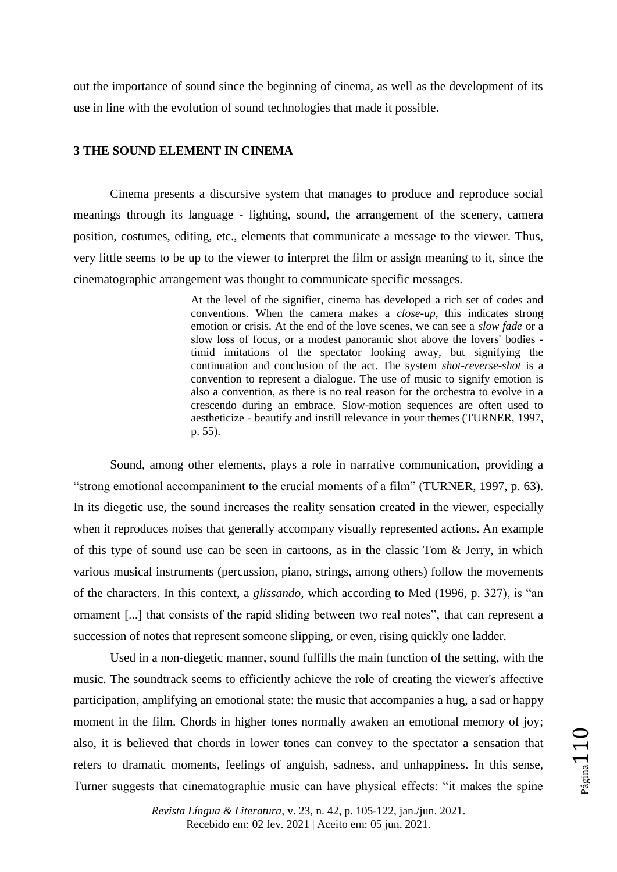out the importance of sound since the beginning of cinema, as well as the development of its use in line with the evolution of sound technologies that made it possible.

## **3 THE SOUND ELEMENT IN CINEMA**

Cinema presents a discursive system that manages to produce and reproduce social meanings through its language - lighting, sound, the arrangement of the scenery, camera position, costumes, editing, etc., elements that communicate a message to the viewer. Thus, very little seems to be up to the viewer to interpret the film or assign meaning to it, since the cinematographic arrangement was thought to communicate specific messages.

> At the level of the signifier, cinema has developed a rich set of codes and conventions. When the camera makes a *close-up*, this indicates strong emotion or crisis. At the end of the love scenes, we can see a *slow fade* or a slow loss of focus, or a modest panoramic shot above the lovers' bodies timid imitations of the spectator looking away, but signifying the continuation and conclusion of the act. The system *shot-reverse*-*shot* is a convention to represent a dialogue. The use of music to signify emotion is also a convention, as there is no real reason for the orchestra to evolve in a crescendo during an embrace. Slow-motion sequences are often used to aestheticize - beautify and instill relevance in your themes (TURNER, 1997, p. 55).

Sound, among other elements, plays a role in narrative communication, providing a "strong emotional accompaniment to the crucial moments of a film" (TURNER, 1997, p. 63). In its diegetic use, the sound increases the reality sensation created in the viewer, especially when it reproduces noises that generally accompany visually represented actions. An example of this type of sound use can be seen in cartoons, as in the classic Tom & Jerry, in which various musical instruments (percussion, piano, strings, among others) follow the movements of the characters. In this context, a *glissando*, which according to Med (1996, p. 327), is "an ornament [...] that consists of the rapid sliding between two real notes", that can represent a succession of notes that represent someone slipping, or even, rising quickly one ladder.

Used in a non-diegetic manner, sound fulfills the main function of the setting, with the music. The soundtrack seems to efficiently achieve the role of creating the viewer's affective participation, amplifying an emotional state: the music that accompanies a hug, a sad or happy moment in the film. Chords in higher tones normally awaken an emotional memory of joy; also, it is believed that chords in lower tones can convey to the spectator a sensation that refers to dramatic moments, feelings of anguish, sadness, and unhappiness. In this sense, Turner suggests that cinematographic music can have physical effects: "it makes the spine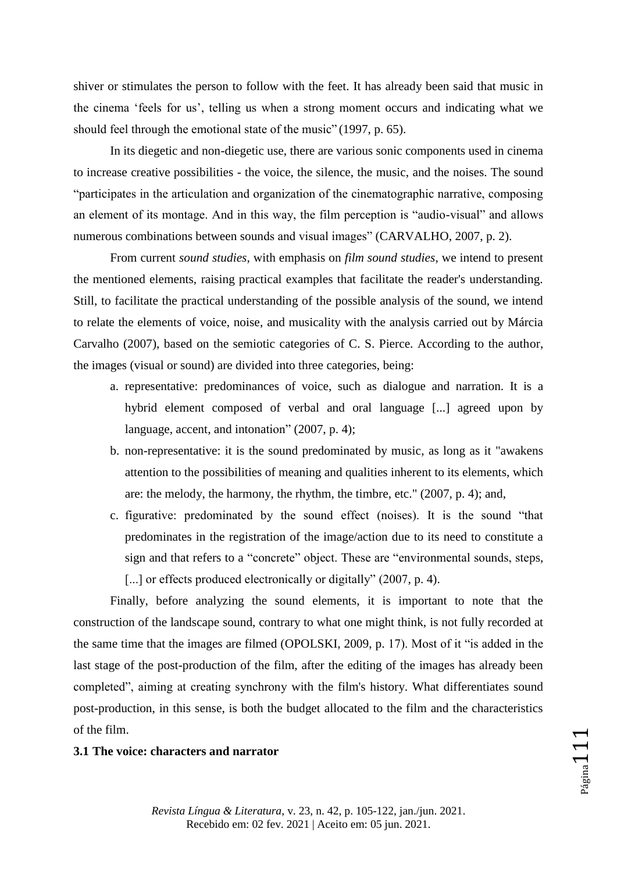shiver or stimulates the person to follow with the feet. It has already been said that music in the cinema "feels for us", telling us when a strong moment occurs and indicating what we should feel through the emotional state of the music" (1997, p. 65).

In its diegetic and non-diegetic use, there are various sonic components used in cinema to increase creative possibilities - the voice, the silence, the music, and the noises. The sound "participates in the articulation and organization of the cinematographic narrative, composing an element of its montage. And in this way, the film perception is "audio-visual" and allows numerous combinations between sounds and visual images" (CARVALHO, 2007, p. 2).

From current *sound studies*, with emphasis on *film sound studies*, we intend to present the mentioned elements, raising practical examples that facilitate the reader's understanding. Still, to facilitate the practical understanding of the possible analysis of the sound, we intend to relate the elements of voice, noise, and musicality with the analysis carried out by Márcia Carvalho (2007), based on the semiotic categories of C. S. Pierce. According to the author, the images (visual or sound) are divided into three categories, being:

- a. representative: predominances of voice, such as dialogue and narration. It is a hybrid element composed of verbal and oral language [...] agreed upon by language, accent, and intonation" (2007, p. 4);
- b. non-representative: it is the sound predominated by music, as long as it "awakens attention to the possibilities of meaning and qualities inherent to its elements, which are: the melody, the harmony, the rhythm, the timbre, etc." (2007, p. 4); and,
- c. figurative: predominated by the sound effect (noises). It is the sound "that predominates in the registration of the image/action due to its need to constitute a sign and that refers to a "concrete" object. These are "environmental sounds, steps, [...] or effects produced electronically or digitally" (2007, p. 4).

Finally, before analyzing the sound elements, it is important to note that the construction of the landscape sound, contrary to what one might think, is not fully recorded at the same time that the images are filmed (OPOLSKI, 2009, p. 17). Most of it "is added in the last stage of the post-production of the film, after the editing of the images has already been completed", aiming at creating synchrony with the film's history. What differentiates sound post-production, in this sense, is both the budget allocated to the film and the characteristics of the film.

## **3.1 The voice: characters and narrator**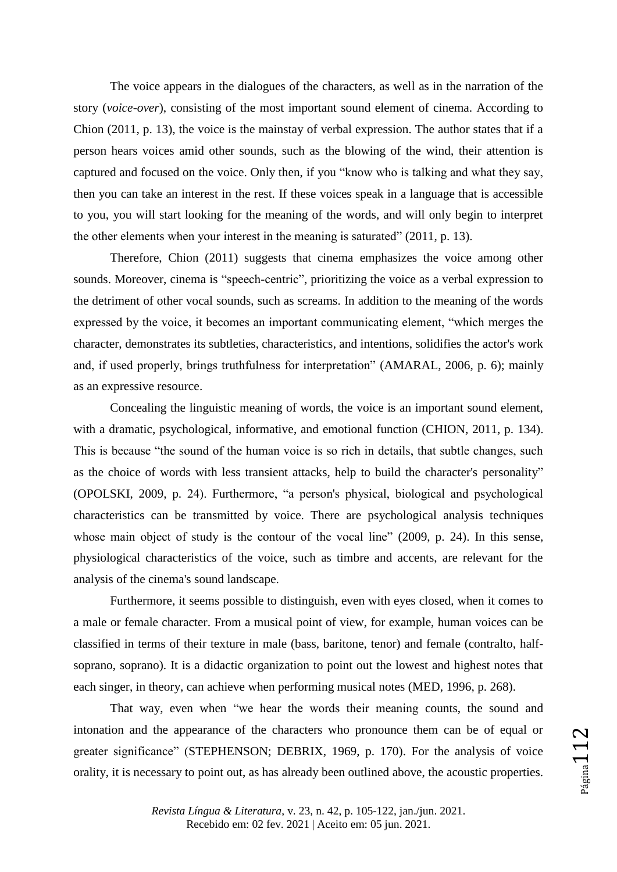The voice appears in the dialogues of the characters, as well as in the narration of the story (*voice-over*), consisting of the most important sound element of cinema. According to Chion (2011, p. 13), the voice is the mainstay of verbal expression. The author states that if a person hears voices amid other sounds, such as the blowing of the wind, their attention is captured and focused on the voice. Only then, if you "know who is talking and what they say, then you can take an interest in the rest. If these voices speak in a language that is accessible to you, you will start looking for the meaning of the words, and will only begin to interpret the other elements when your interest in the meaning is saturated" (2011, p. 13).

Therefore, Chion (2011) suggests that cinema emphasizes the voice among other sounds. Moreover, cinema is "speech-centric", prioritizing the voice as a verbal expression to the detriment of other vocal sounds, such as screams. In addition to the meaning of the words expressed by the voice, it becomes an important communicating element, "which merges the character, demonstrates its subtleties, characteristics, and intentions, solidifies the actor's work and, if used properly, brings truthfulness for interpretation" (AMARAL, 2006, p. 6); mainly as an expressive resource.

Concealing the linguistic meaning of words, the voice is an important sound element, with a dramatic, psychological, informative, and emotional function (CHION, 2011, p. 134). This is because "the sound of the human voice is so rich in details, that subtle changes, such as the choice of words with less transient attacks, help to build the character's personality" (OPOLSKI, 2009, p. 24). Furthermore, "a person's physical, biological and psychological characteristics can be transmitted by voice. There are psychological analysis techniques whose main object of study is the contour of the vocal line" (2009, p. 24). In this sense, physiological characteristics of the voice, such as timbre and accents, are relevant for the analysis of the cinema's sound landscape.

Furthermore, it seems possible to distinguish, even with eyes closed, when it comes to a male or female character. From a musical point of view, for example, human voices can be classified in terms of their texture in male (bass, baritone, tenor) and female (contralto, halfsoprano, soprano). It is a didactic organization to point out the lowest and highest notes that each singer, in theory, can achieve when performing musical notes (MED, 1996, p. 268).

That way, even when "we hear the words their meaning counts, the sound and intonation and the appearance of the characters who pronounce them can be of equal or greater significance" (STEPHENSON; DEBRIX, 1969, p. 170). For the analysis of voice orality, it is necessary to point out, as has already been outlined above, the acoustic properties.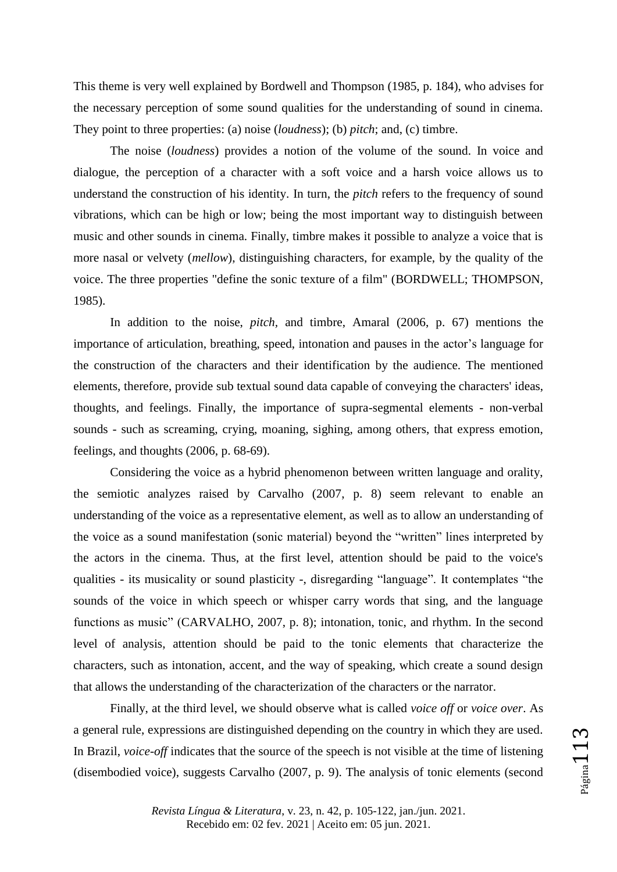This theme is very well explained by Bordwell and Thompson (1985, p. 184), who advises for the necessary perception of some sound qualities for the understanding of sound in cinema. They point to three properties: (a) noise (*loudness*); (b) *pitch*; and, (c) timbre.

The noise (*loudness*) provides a notion of the volume of the sound. In voice and dialogue, the perception of a character with a soft voice and a harsh voice allows us to understand the construction of his identity. In turn, the *pitch* refers to the frequency of sound vibrations, which can be high or low; being the most important way to distinguish between music and other sounds in cinema. Finally, timbre makes it possible to analyze a voice that is more nasal or velvety (*mellow*), distinguishing characters, for example, by the quality of the voice. The three properties "define the sonic texture of a film" (BORDWELL; THOMPSON, 1985).

In addition to the noise, *pitch,* and timbre, Amaral (2006, p. 67) mentions the importance of articulation, breathing, speed, intonation and pauses in the actor's language for the construction of the characters and their identification by the audience. The mentioned elements, therefore, provide sub textual sound data capable of conveying the characters' ideas, thoughts, and feelings. Finally, the importance of supra-segmental elements - non-verbal sounds - such as screaming, crying, moaning, sighing, among others, that express emotion, feelings, and thoughts (2006, p. 68-69).

Considering the voice as a hybrid phenomenon between written language and orality, the semiotic analyzes raised by Carvalho (2007, p. 8) seem relevant to enable an understanding of the voice as a representative element, as well as to allow an understanding of the voice as a sound manifestation (sonic material) beyond the "written" lines interpreted by the actors in the cinema. Thus, at the first level, attention should be paid to the voice's qualities - its musicality or sound plasticity -, disregarding "language". It contemplates "the sounds of the voice in which speech or whisper carry words that sing, and the language functions as music" (CARVALHO, 2007, p. 8); intonation, tonic, and rhythm. In the second level of analysis, attention should be paid to the tonic elements that characterize the characters, such as intonation, accent, and the way of speaking, which create a sound design that allows the understanding of the characterization of the characters or the narrator.

Finally, at the third level, we should observe what is called *voice off* or *voice over*. As a general rule, expressions are distinguished depending on the country in which they are used. In Brazil, *voice-off* indicates that the source of the speech is not visible at the time of listening (disembodied voice), suggests Carvalho (2007, p. 9). The analysis of tonic elements (second

*Revista Língua & Literatura*, v. 23, n. 42, p. 105-122, jan./jun. 2021. Recebido em: 02 fev. 2021 | Aceito em: 05 jun. 2021.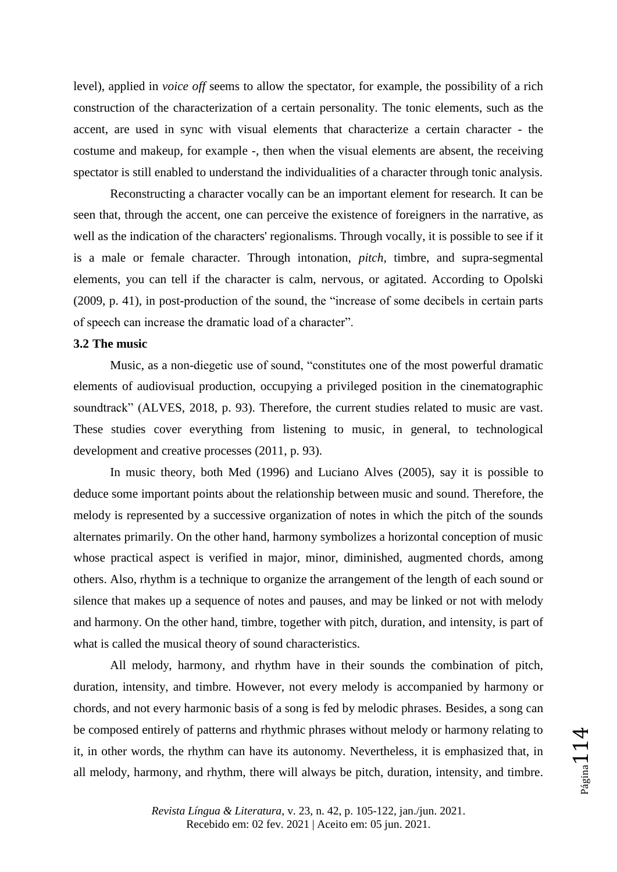level), applied in *voice off* seems to allow the spectator, for example, the possibility of a rich construction of the characterization of a certain personality. The tonic elements, such as the accent, are used in sync with visual elements that characterize a certain character - the costume and makeup, for example -, then when the visual elements are absent, the receiving spectator is still enabled to understand the individualities of a character through tonic analysis.

Reconstructing a character vocally can be an important element for research. It can be seen that, through the accent, one can perceive the existence of foreigners in the narrative, as well as the indication of the characters' regionalisms. Through vocally, it is possible to see if it is a male or female character. Through intonation, *pitch,* timbre, and supra-segmental elements, you can tell if the character is calm, nervous, or agitated. According to Opolski (2009, p. 41), in post-production of the sound, the "increase of some decibels in certain parts of speech can increase the dramatic load of a character".

#### **3.2 The music**

Music, as a non-diegetic use of sound, "constitutes one of the most powerful dramatic elements of audiovisual production, occupying a privileged position in the cinematographic soundtrack" (ALVES, 2018, p. 93). Therefore, the current studies related to music are vast. These studies cover everything from listening to music, in general, to technological development and creative processes (2011, p. 93).

In music theory, both Med (1996) and Luciano Alves (2005), say it is possible to deduce some important points about the relationship between music and sound. Therefore, the melody is represented by a successive organization of notes in which the pitch of the sounds alternates primarily. On the other hand, harmony symbolizes a horizontal conception of music whose practical aspect is verified in major, minor, diminished, augmented chords, among others. Also, rhythm is a technique to organize the arrangement of the length of each sound or silence that makes up a sequence of notes and pauses, and may be linked or not with melody and harmony. On the other hand, timbre, together with pitch, duration, and intensity, is part of what is called the musical theory of sound characteristics.

All melody, harmony, and rhythm have in their sounds the combination of pitch, duration, intensity, and timbre. However, not every melody is accompanied by harmony or chords, and not every harmonic basis of a song is fed by melodic phrases. Besides, a song can be composed entirely of patterns and rhythmic phrases without melody or harmony relating to it, in other words, the rhythm can have its autonomy. Nevertheless, it is emphasized that, in all melody, harmony, and rhythm, there will always be pitch, duration, intensity, and timbre.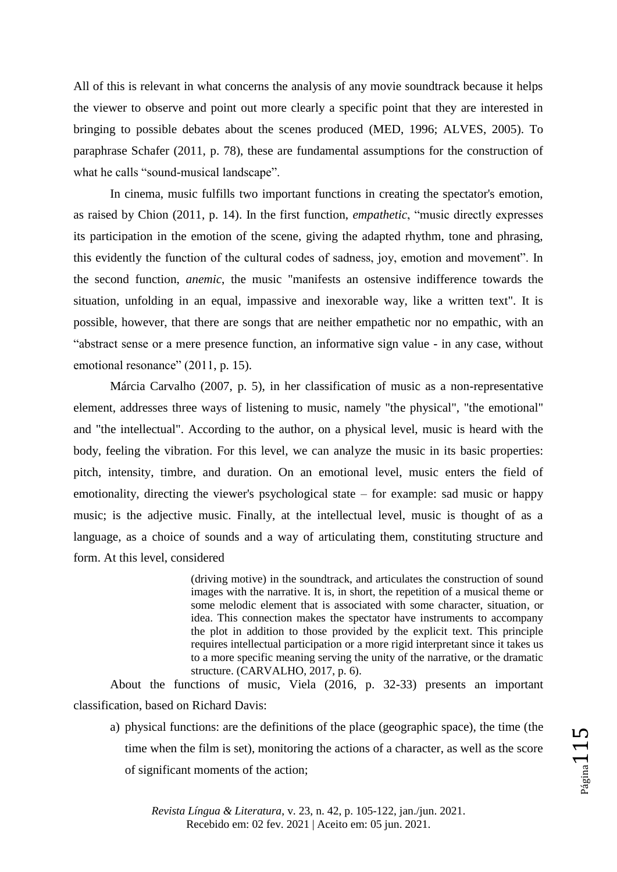All of this is relevant in what concerns the analysis of any movie soundtrack because it helps the viewer to observe and point out more clearly a specific point that they are interested in bringing to possible debates about the scenes produced (MED, 1996; ALVES, 2005). To paraphrase Schafer (2011, p. 78), these are fundamental assumptions for the construction of what he calls "sound-musical landscape".

In cinema, music fulfills two important functions in creating the spectator's emotion, as raised by Chion (2011, p. 14). In the first function, *empathetic*, "music directly expresses its participation in the emotion of the scene, giving the adapted rhythm, tone and phrasing, this evidently the function of the cultural codes of sadness, joy, emotion and movement". In the second function, *anemic*, the music "manifests an ostensive indifference towards the situation, unfolding in an equal, impassive and inexorable way, like a written text". It is possible, however, that there are songs that are neither empathetic nor no empathic, with an "abstract sense or a mere presence function, an informative sign value - in any case, without emotional resonance" (2011, p. 15).

Márcia Carvalho (2007, p. 5), in her classification of music as a non-representative element, addresses three ways of listening to music, namely "the physical", "the emotional" and "the intellectual". According to the author, on a physical level, music is heard with the body, feeling the vibration. For this level, we can analyze the music in its basic properties: pitch, intensity, timbre, and duration. On an emotional level, music enters the field of emotionality, directing the viewer's psychological state – for example: sad music or happy music; is the adjective music. Finally, at the intellectual level, music is thought of as a language, as a choice of sounds and a way of articulating them, constituting structure and form. At this level, considered

> (driving motive) in the soundtrack, and articulates the construction of sound images with the narrative. It is, in short, the repetition of a musical theme or some melodic element that is associated with some character, situation, or idea. This connection makes the spectator have instruments to accompany the plot in addition to those provided by the explicit text. This principle requires intellectual participation or a more rigid interpretant since it takes us to a more specific meaning serving the unity of the narrative, or the dramatic structure. (CARVALHO, 2017, p. 6).

About the functions of music, Viela (2016, p. 32-33) presents an important classification, based on Richard Davis:

a) physical functions: are the definitions of the place (geographic space), the time (the time when the film is set), monitoring the actions of a character, as well as the score of significant moments of the action;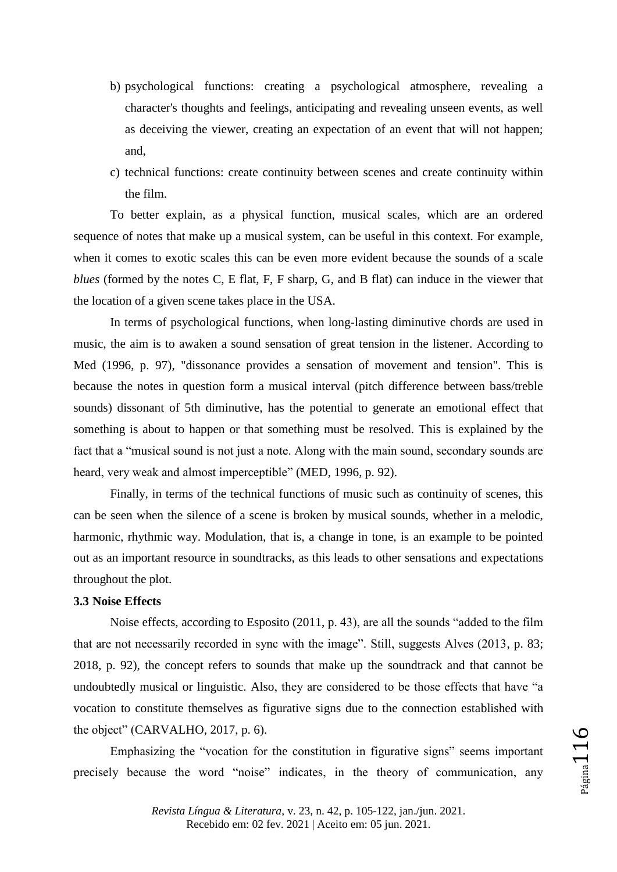- b) psychological functions: creating a psychological atmosphere, revealing a character's thoughts and feelings, anticipating and revealing unseen events, as well as deceiving the viewer, creating an expectation of an event that will not happen; and,
- c) technical functions: create continuity between scenes and create continuity within the film.

To better explain, as a physical function, musical scales, which are an ordered sequence of notes that make up a musical system, can be useful in this context. For example, when it comes to exotic scales this can be even more evident because the sounds of a scale *blues* (formed by the notes C, E flat, F, F sharp, G, and B flat) can induce in the viewer that the location of a given scene takes place in the USA.

In terms of psychological functions, when long-lasting diminutive chords are used in music, the aim is to awaken a sound sensation of great tension in the listener. According to Med (1996, p. 97), "dissonance provides a sensation of movement and tension". This is because the notes in question form a musical interval (pitch difference between bass/treble sounds) dissonant of 5th diminutive, has the potential to generate an emotional effect that something is about to happen or that something must be resolved. This is explained by the fact that a "musical sound is not just a note. Along with the main sound, secondary sounds are heard, very weak and almost imperceptible" (MED, 1996, p. 92).

Finally, in terms of the technical functions of music such as continuity of scenes, this can be seen when the silence of a scene is broken by musical sounds, whether in a melodic, harmonic, rhythmic way. Modulation, that is, a change in tone, is an example to be pointed out as an important resource in soundtracks, as this leads to other sensations and expectations throughout the plot.

#### **3.3 Noise Effects**

Noise effects, according to Esposito (2011, p. 43), are all the sounds "added to the film that are not necessarily recorded in sync with the image". Still, suggests Alves (2013, p. 83; 2018, p. 92), the concept refers to sounds that make up the soundtrack and that cannot be undoubtedly musical or linguistic. Also, they are considered to be those effects that have "a vocation to constitute themselves as figurative signs due to the connection established with the object" (CARVALHO, 2017, p. 6).

Emphasizing the "vocation for the constitution in figurative signs" seems important precisely because the word "noise" indicates, in the theory of communication, any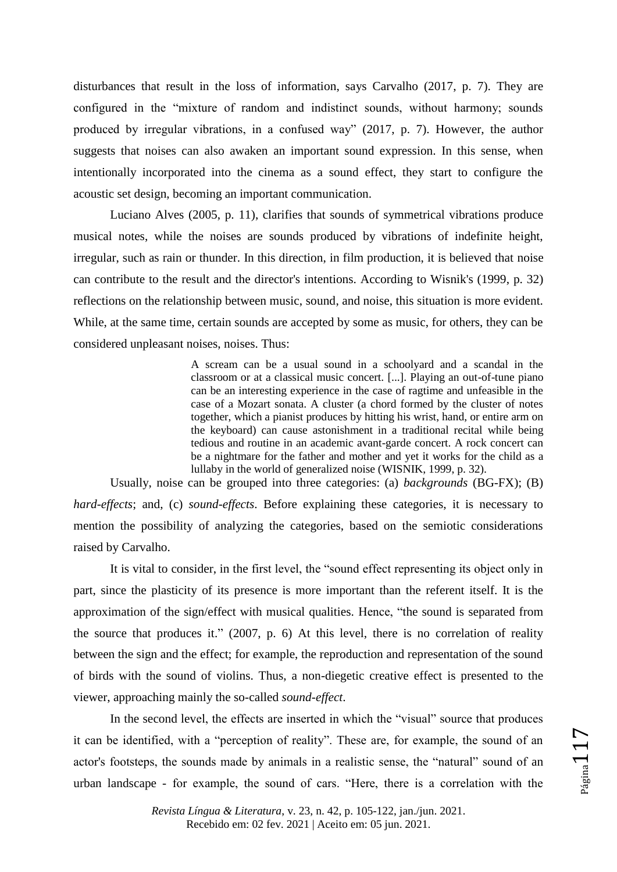disturbances that result in the loss of information, says Carvalho (2017, p. 7). They are configured in the "mixture of random and indistinct sounds, without harmony; sounds produced by irregular vibrations, in a confused way" (2017, p. 7). However, the author suggests that noises can also awaken an important sound expression. In this sense, when intentionally incorporated into the cinema as a sound effect, they start to configure the acoustic set design, becoming an important communication.

Luciano Alves (2005, p. 11), clarifies that sounds of symmetrical vibrations produce musical notes, while the noises are sounds produced by vibrations of indefinite height, irregular, such as rain or thunder. In this direction, in film production, it is believed that noise can contribute to the result and the director's intentions. According to Wisnik's (1999, p. 32) reflections on the relationship between music, sound, and noise, this situation is more evident. While, at the same time, certain sounds are accepted by some as music, for others, they can be considered unpleasant noises, noises. Thus:

> A scream can be a usual sound in a schoolyard and a scandal in the classroom or at a classical music concert. [...]. Playing an out-of-tune piano can be an interesting experience in the case of ragtime and unfeasible in the case of a Mozart sonata. A cluster (a chord formed by the cluster of notes together, which a pianist produces by hitting his wrist, hand, or entire arm on the keyboard) can cause astonishment in a traditional recital while being tedious and routine in an academic avant-garde concert. A rock concert can be a nightmare for the father and mother and yet it works for the child as a lullaby in the world of generalized noise (WISNIK, 1999, p. 32).

Usually, noise can be grouped into three categories: (a) *backgrounds* (BG-FX); (B) *hard-effects*; and, (c) *sound-effects*. Before explaining these categories, it is necessary to mention the possibility of analyzing the categories, based on the semiotic considerations raised by Carvalho.

It is vital to consider, in the first level, the "sound effect representing its object only in part, since the plasticity of its presence is more important than the referent itself. It is the approximation of the sign/effect with musical qualities. Hence, "the sound is separated from the source that produces it." (2007, p. 6) At this level, there is no correlation of reality between the sign and the effect; for example, the reproduction and representation of the sound of birds with the sound of violins. Thus, a non-diegetic creative effect is presented to the viewer, approaching mainly the so-called *sound-effect*.

In the second level, the effects are inserted in which the "visual" source that produces it can be identified, with a "perception of reality". These are, for example, the sound of an actor's footsteps, the sounds made by animals in a realistic sense, the "natural" sound of an urban landscape - for example, the sound of cars. "Here, there is a correlation with the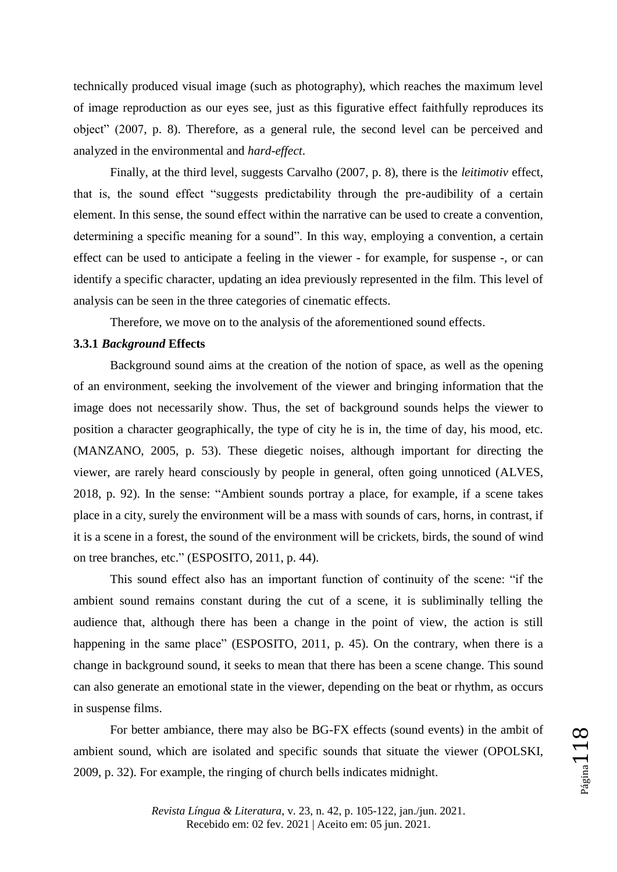technically produced visual image (such as photography), which reaches the maximum level of image reproduction as our eyes see, just as this figurative effect faithfully reproduces its object" (2007, p. 8). Therefore, as a general rule, the second level can be perceived and analyzed in the environmental and *hard-effect*.

Finally, at the third level, suggests Carvalho (2007, p. 8), there is the *leitimotiv* effect, that is, the sound effect "suggests predictability through the pre-audibility of a certain element. In this sense, the sound effect within the narrative can be used to create a convention, determining a specific meaning for a sound". In this way, employing a convention, a certain effect can be used to anticipate a feeling in the viewer - for example, for suspense -, or can identify a specific character, updating an idea previously represented in the film. This level of analysis can be seen in the three categories of cinematic effects.

Therefore, we move on to the analysis of the aforementioned sound effects.

#### **3.3.1** *Background* **Effects**

Background sound aims at the creation of the notion of space, as well as the opening of an environment, seeking the involvement of the viewer and bringing information that the image does not necessarily show. Thus, the set of background sounds helps the viewer to position a character geographically, the type of city he is in, the time of day, his mood, etc. (MANZANO, 2005, p. 53). These diegetic noises, although important for directing the viewer, are rarely heard consciously by people in general, often going unnoticed (ALVES, 2018, p. 92). In the sense: "Ambient sounds portray a place, for example, if a scene takes place in a city, surely the environment will be a mass with sounds of cars, horns, in contrast, if it is a scene in a forest, the sound of the environment will be crickets, birds, the sound of wind on tree branches, etc." (ESPOSITO, 2011, p. 44).

This sound effect also has an important function of continuity of the scene: "if the ambient sound remains constant during the cut of a scene, it is subliminally telling the audience that, although there has been a change in the point of view, the action is still happening in the same place" (ESPOSITO, 2011, p. 45). On the contrary, when there is a change in background sound, it seeks to mean that there has been a scene change. This sound can also generate an emotional state in the viewer, depending on the beat or rhythm, as occurs in suspense films.

For better ambiance, there may also be BG-FX effects (sound events) in the ambit of ambient sound, which are isolated and specific sounds that situate the viewer (OPOLSKI, 2009, p. 32). For example, the ringing of church bells indicates midnight.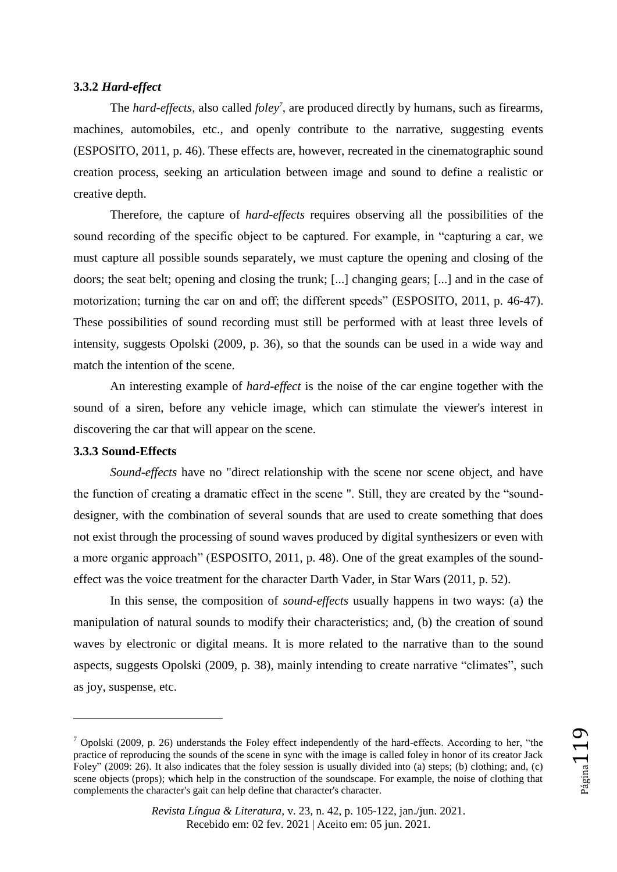#### **3.3.2** *Hard-effect*

The *hard-effects*, also called *foley<sup>7</sup>* , are produced directly by humans, such as firearms, machines, automobiles, etc., and openly contribute to the narrative, suggesting events (ESPOSITO, 2011, p. 46). These effects are, however, recreated in the cinematographic sound creation process, seeking an articulation between image and sound to define a realistic or creative depth.

Therefore, the capture of *hard-effects* requires observing all the possibilities of the sound recording of the specific object to be captured. For example, in "capturing a car, we must capture all possible sounds separately, we must capture the opening and closing of the doors; the seat belt; opening and closing the trunk; [...] changing gears; [...] and in the case of motorization; turning the car on and off; the different speeds" (ESPOSITO, 2011, p. 46-47). These possibilities of sound recording must still be performed with at least three levels of intensity, suggests Opolski (2009, p. 36), so that the sounds can be used in a wide way and match the intention of the scene.

An interesting example of *hard-effect* is the noise of the car engine together with the sound of a siren, before any vehicle image, which can stimulate the viewer's interest in discovering the car that will appear on the scene.

## **3.3.3 Sound-Effects**

 $\overline{a}$ 

*Sound-effects* have no "direct relationship with the scene nor scene object, and have the function of creating a dramatic effect in the scene ". Still, they are created by the "sounddesigner, with the combination of several sounds that are used to create something that does not exist through the processing of sound waves produced by digital synthesizers or even with a more organic approach" (ESPOSITO, 2011, p. 48). One of the great examples of the soundeffect was the voice treatment for the character Darth Vader, in Star Wars (2011, p. 52).

In this sense, the composition of *sound-effects* usually happens in two ways: (a) the manipulation of natural sounds to modify their characteristics; and, (b) the creation of sound waves by electronic or digital means. It is more related to the narrative than to the sound aspects, suggests Opolski (2009, p. 38), mainly intending to create narrative "climates", such as joy, suspense, etc.

 $^7$  Opolski (2009, p. 26) understands the Foley effect independently of the hard-effects. According to her, "the practice of reproducing the sounds of the scene in sync with the image is called foley in honor of its creator Jack Foley" (2009: 26). It also indicates that the foley session is usually divided into (a) steps; (b) clothing; and, (c) scene objects (props); which help in the construction of the soundscape. For example, the noise of clothing that complements the character's gait can help define that character's character.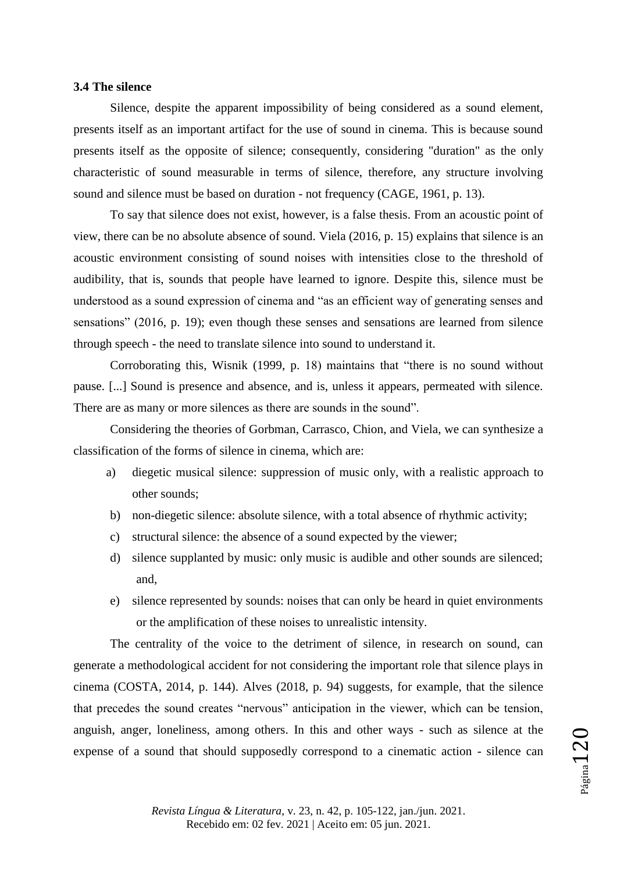#### **3.4 The silence**

Silence, despite the apparent impossibility of being considered as a sound element, presents itself as an important artifact for the use of sound in cinema. This is because sound presents itself as the opposite of silence; consequently, considering "duration" as the only characteristic of sound measurable in terms of silence, therefore, any structure involving sound and silence must be based on duration - not frequency (CAGE, 1961, p. 13).

To say that silence does not exist, however, is a false thesis. From an acoustic point of view, there can be no absolute absence of sound. Viela (2016, p. 15) explains that silence is an acoustic environment consisting of sound noises with intensities close to the threshold of audibility, that is, sounds that people have learned to ignore. Despite this, silence must be understood as a sound expression of cinema and "as an efficient way of generating senses and sensations" (2016, p. 19); even though these senses and sensations are learned from silence through speech - the need to translate silence into sound to understand it.

Corroborating this, Wisnik (1999, p. 18) maintains that "there is no sound without pause. [...] Sound is presence and absence, and is, unless it appears, permeated with silence. There are as many or more silences as there are sounds in the sound".

Considering the theories of Gorbman, Carrasco, Chion, and Viela, we can synthesize a classification of the forms of silence in cinema, which are:

- a) diegetic musical silence: suppression of music only, with a realistic approach to other sounds;
- b) non-diegetic silence: absolute silence, with a total absence of rhythmic activity;
- c) structural silence: the absence of a sound expected by the viewer;
- d) silence supplanted by music: only music is audible and other sounds are silenced; and,
- e) silence represented by sounds: noises that can only be heard in quiet environments or the amplification of these noises to unrealistic intensity.

The centrality of the voice to the detriment of silence, in research on sound, can generate a methodological accident for not considering the important role that silence plays in cinema (COSTA, 2014, p. 144). Alves (2018, p. 94) suggests, for example, that the silence that precedes the sound creates "nervous" anticipation in the viewer, which can be tension, anguish, anger, loneliness, among others. In this and other ways - such as silence at the expense of a sound that should supposedly correspond to a cinematic action - silence can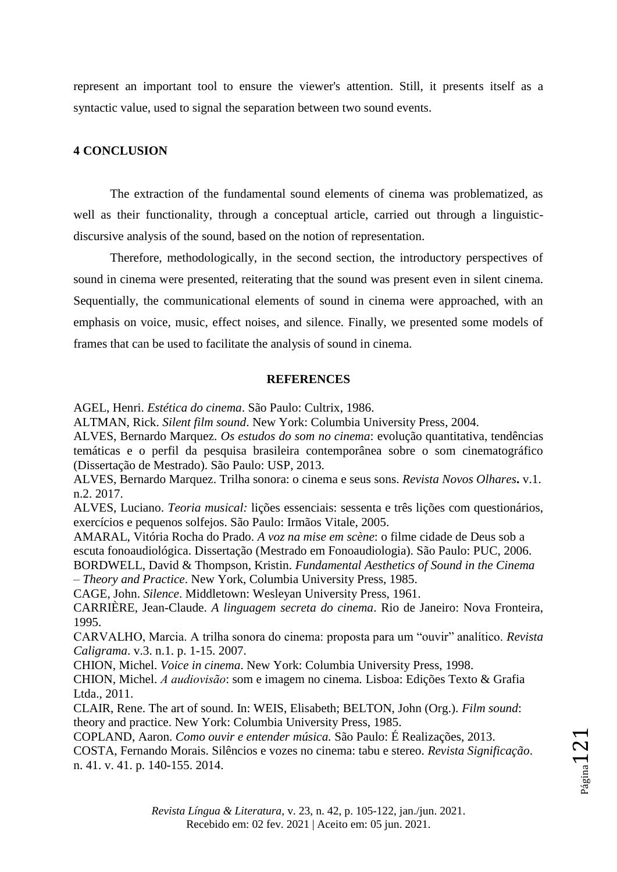represent an important tool to ensure the viewer's attention. Still, it presents itself as a syntactic value, used to signal the separation between two sound events.

## **4 CONCLUSION**

The extraction of the fundamental sound elements of cinema was problematized, as well as their functionality, through a conceptual article, carried out through a linguisticdiscursive analysis of the sound, based on the notion of representation.

Therefore, methodologically, in the second section, the introductory perspectives of sound in cinema were presented, reiterating that the sound was present even in silent cinema. Sequentially, the communicational elements of sound in cinema were approached, with an emphasis on voice, music, effect noises, and silence. Finally, we presented some models of frames that can be used to facilitate the analysis of sound in cinema.

#### **REFERENCES**

AGEL, Henri. *Estética do cinema*. São Paulo: Cultrix, 1986.

ALTMAN, Rick. *Silent film sound*. New York: Columbia University Press, 2004.

ALVES, Bernardo Marquez. *Os estudos do som no cinema*: evolução quantitativa, tendências temáticas e o perfil da pesquisa brasileira contemporânea sobre o som cinematográfico (Dissertação de Mestrado). São Paulo: USP, 2013.

ALVES, Bernardo Marquez. Trilha sonora: o cinema e seus sons. *Revista Novos Olhares***.** v.1. n.2. 2017.

ALVES, Luciano. *Teoria musical:* lições essenciais: sessenta e três lições com questionários, exercícios e pequenos solfejos. São Paulo: Irmãos Vitale, 2005.

AMARAL, Vitória Rocha do Prado. *A voz na mise em scène*: o filme cidade de Deus sob a escuta fonoaudiológica. Dissertação (Mestrado em Fonoaudiologia). São Paulo: PUC, 2006. BORDWELL, David & Thompson, Kristin. *Fundamental Aesthetics of Sound in the Cinema* 

*– Theory and Practice*. New York, Columbia University Press, 1985.

CAGE, John. *Silence*. Middletown: Wesleyan University Press, 1961.

CARRIÈRE, Jean-Claude. *A linguagem secreta do cinema*. Rio de Janeiro: Nova Fronteira, 1995.

CARVALHO, Marcia. A trilha sonora do cinema: proposta para um "ouvir" analítico. *Revista Caligrama*. v.3. n.1. p. 1-15. 2007.

CHION, Michel. *Voice in cinema*. New York: Columbia University Press, 1998.

CHION, Michel. A audiovisão: som e imagem no cinema. Lisboa: Edições Texto & Grafia Ltda., 2011.

CLAIR, Rene. The art of sound. In: WEIS, Elisabeth; BELTON, John (Org.). *Film sound*: theory and practice. New York: Columbia University Press, 1985.

COPLAND, Aaron. *Como ouvir e entender música.* São Paulo: É Realizações, 2013.

COSTA, Fernando Morais. Silêncios e vozes no cinema: tabu e stereo. *Revista Significação*. n. 41. v. 41. p. 140-155. 2014.